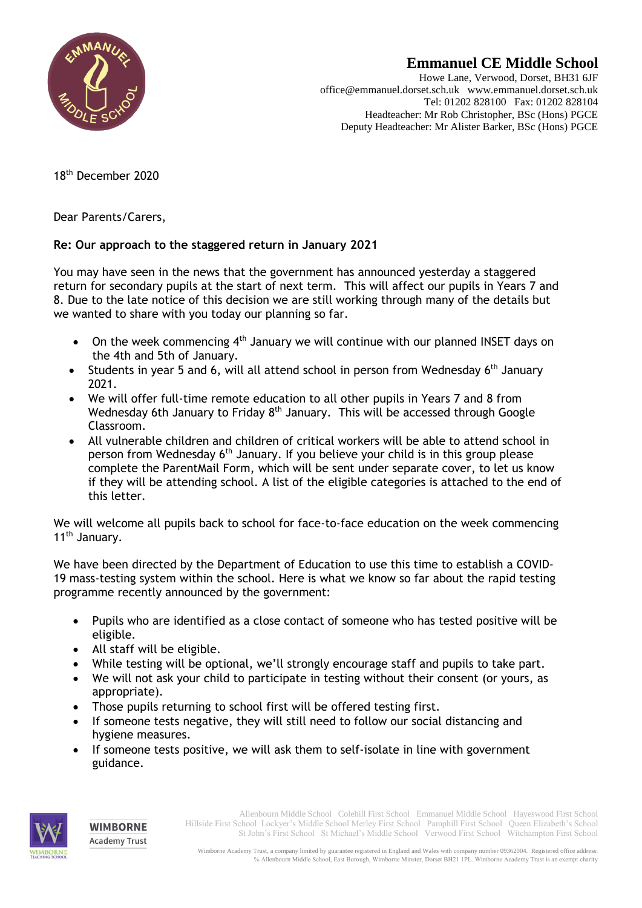

## **Emmanuel CE Middle School**

Howe Lane, Verwood, Dorset, BH31 6JF office@emmanuel.dorset.sch.uk www.emmanuel.dorset.sch.uk Tel: 01202 828100 Fax: 01202 828104 Headteacher: Mr Rob Christopher, BSc (Hons) PGCE Deputy Headteacher: Mr Alister Barker, BSc (Hons) PGCE

18th December 2020

Dear Parents/Carers,

## **Re: Our approach to the staggered return in January 2021**

You may have seen in the news that the government has announced yesterday a staggered return for secondary pupils at the start of next term. This will affect our pupils in Years 7 and 8. Due to the late notice of this decision we are still working through many of the details but we wanted to share with you today our planning so far.

- $\bullet$  On the week commencing 4<sup>th</sup> January we will continue with our planned INSET days on the 4th and 5th of January.
- Students in year 5 and 6, will all attend school in person from Wednesday  $6<sup>th</sup>$  January 2021.
- We will offer full-time remote education to all other pupils in Years 7 and 8 from Wednesday 6th January to Friday  $8<sup>th</sup>$  January. This will be accessed through Google Classroom.
- All vulnerable children and children of critical workers will be able to attend school in person from Wednesday 6th January. If you believe your child is in this group please complete the ParentMail Form, which will be sent under separate cover, to let us know if they will be attending school. A list of the eligible categories is attached to the end of this letter.

We will welcome all pupils back to school for face-to-face education on the week commencing 11<sup>th</sup> January.

We have been directed by the Department of Education to use this time to establish a COVID-19 mass-testing system within the school. Here is what we know so far about the rapid testing programme recently announced by the government:

- Pupils who are identified as a close contact of someone who has tested positive will be eligible.
- All staff will be eligible.
- While testing will be optional, we'll strongly encourage staff and pupils to take part.
- We will not ask your child to participate in testing without their consent (or yours, as appropriate).
- Those pupils returning to school first will be offered testing first.
- If someone tests negative, they will still need to follow our social distancing and hygiene measures.
- If someone tests positive, we will ask them to self-isolate in line with government guidance.